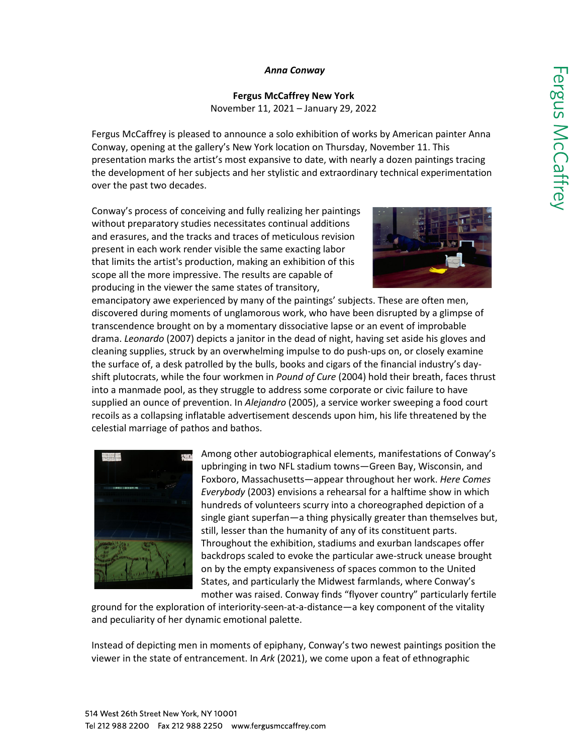#### *Anna Conway*

**Fergus McCaffrey New York**  November 11, 2021 – January 29, 2022

Fergus McCaffrey is pleased to announce a solo exhibition of works by American painter Anna Conway, opening at the gallery's New York location on Thursday, November 11. This presentation marks the artist's most expansive to date, with nearly a dozen paintings tracing the development of her subjects and her stylistic and extraordinary technical experimentation over the past two decades.

Conway's process of conceiving and fully realizing her paintings without preparatory studies necessitates continual additions and erasures, and the tracks and traces of meticulous revision present in each work render visible the same exacting labor that limits the artist's production, making an exhibition of this scope all the more impressive. The results are capable of producing in the viewer the same states of transitory,



emancipatory awe experienced by many of the paintings' subjects. These are often men, discovered during moments of unglamorous work, who have been disrupted by a glimpse of transcendence brought on by a momentary dissociative lapse or an event of improbable drama. *Leonardo* (2007) depicts a janitor in the dead of night, having set aside his gloves and cleaning supplies, struck by an overwhelming impulse to do push-ups on, or closely examine the surface of, a desk patrolled by the bulls, books and cigars of the financial industry's dayshift plutocrats, while the four workmen in *Pound of Cure* (2004) hold their breath, faces thrust into a manmade pool, as they struggle to address some corporate or civic failure to have supplied an ounce of prevention. In *Alejandro* (2005), a service worker sweeping a food court recoils as a collapsing inflatable advertisement descends upon him, his life threatened by the celestial marriage of pathos and bathos.



Among other autobiographical elements, manifestations of Conway's upbringing in two NFL stadium towns—Green Bay, Wisconsin, and Foxboro, Massachusetts—appear throughout her work. *Here Comes Everybody* (2003) envisions a rehearsal for a halftime show in which hundreds of volunteers scurry into a choreographed depiction of a single giant superfan—a thing physically greater than themselves but, still, lesser than the humanity of any of its constituent parts. Throughout the exhibition, stadiums and exurban landscapes offer backdrops scaled to evoke the particular awe-struck unease brought on by the empty expansiveness of spaces common to the United States, and particularly the Midwest farmlands, where Conway's mother was raised. Conway finds "flyover country" particularly fertile

ground for the exploration of interiority-seen-at-a-distance—a key component of the vitality and peculiarity of her dynamic emotional palette.

Instead of depicting men in moments of epiphany, Conway's two newest paintings position the viewer in the state of entrancement. In *Ark* (2021), we come upon a feat of ethnographic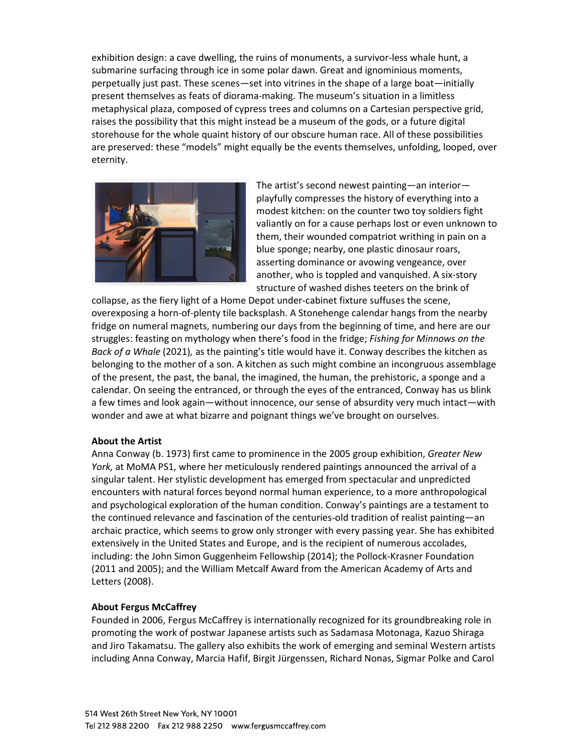exhibition design: a cave dwelling, the ruins of monuments, a survivor-less whale hunt, a submarine surfacing through ice in some polar dawn. Great and ignominious moments, perpetually just past. These scenes—set into vitrines in the shape of a large boat—initially present themselves as feats of diorama-making. The museum's situation in a limitless metaphysical plaza, composed of cypress trees and columns on a Cartesian perspective grid, raises the possibility that this might instead be a museum of the gods, or a future digital storehouse for the whole quaint history of our obscure human race. All of these possibilities are preserved: these "models" might equally be the events themselves, unfolding, looped, over eternity.



The artist's second newest painting—an interior playfully compresses the history of everything into a modest kitchen: on the counter two toy soldiers fight valiantly on for a cause perhaps lost or even unknown to them, their wounded compatriot writhing in pain on a blue sponge; nearby, one plastic dinosaur roars, asserting dominance or avowing vengeance, over another, who is toppled and vanquished. A six-story structure of washed dishes teeters on the brink of

collapse, as the fiery light of a Home Depot under-cabinet fixture suffuses the scene, overexposing a horn-of-plenty tile backsplash. A Stonehenge calendar hangs from the nearby fridge on numeral magnets, numbering our days from the beginning of time, and here are our struggles: feasting on mythology when there's food in the fridge; *Fishing for Minnows on the Back of a Whale* (2021)*,* as the painting's title would have it. Conway describes the kitchen as belonging to the mother of a son. A kitchen as such might combine an incongruous assemblage of the present, the past, the banal, the imagined, the human, the prehistoric, a sponge and a calendar. On seeing the entranced, or through the eyes of the entranced, Conway has us blink a few times and look again—without innocence, our sense of absurdity very much intact—with wonder and awe at what bizarre and poignant things we've brought on ourselves.

#### **About the Artist**

Anna Conway (b. 1973) first came to prominence in the 2005 group exhibition, *Greater New York,* at MoMA PS1, where her meticulously rendered paintings announced the arrival of a singular talent. Her stylistic development has emerged from spectacular and unpredicted encounters with natural forces beyond normal human experience, to a more anthropological and psychological exploration of the human condition. Conway's paintings are a testament to the continued relevance and fascination of the centuries-old tradition of realist painting—an archaic practice, which seems to grow only stronger with every passing year. She has exhibited extensively in the United States and Europe, and is the recipient of numerous accolades, including: the John Simon Guggenheim Fellowship (2014); the Pollock-Krasner Foundation (2011 and 2005); and the William Metcalf Award from the American Academy of Arts and Letters (2008).

## **About Fergus McCaffrey**

Founded in 2006, Fergus McCaffrey is internationally recognized for its groundbreaking role in promoting the work of postwar Japanese artists such as Sadamasa Motonaga, Kazuo Shiraga and Jiro Takamatsu. The gallery also exhibits the work of emerging and seminal Western artists including Anna Conway, Marcia Hafif, Birgit Jürgenssen, Richard Nonas, Sigmar Polke and Carol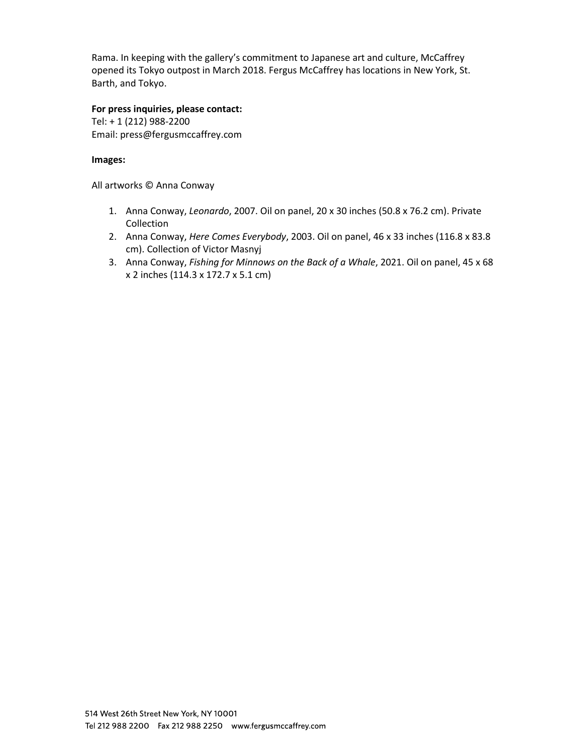Rama. In keeping with the gallery's commitment to Japanese art and culture, McCaffrey opened its Tokyo outpost in March 2018. Fergus McCaffrey has locations in New York, St. Barth, and Tokyo.

**For press inquiries, please contact:**  Tel: + 1 (212) 988-2200 Email: [press@fergusmccaffrey.com](mailto:press@fergusmccaffrey.com)

## **Images:**

All artworks © Anna Conway

- 1. Anna Conway, *Leonardo*, 2007. Oil on panel, 20 x 30 inches (50.8 x 76.2 cm). Private Collection
- 2. Anna Conway, *Here Comes Everybody*, 2003. Oil on panel, 46 x 33 inches (116.8 x 83.8 cm). Collection of Victor Masnyj
- 3. Anna Conway, *Fishing for Minnows on the Back of a Whale*, 2021. Oil on panel, 45 x 68 x 2 inches (114.3 x 172.7 x 5.1 cm)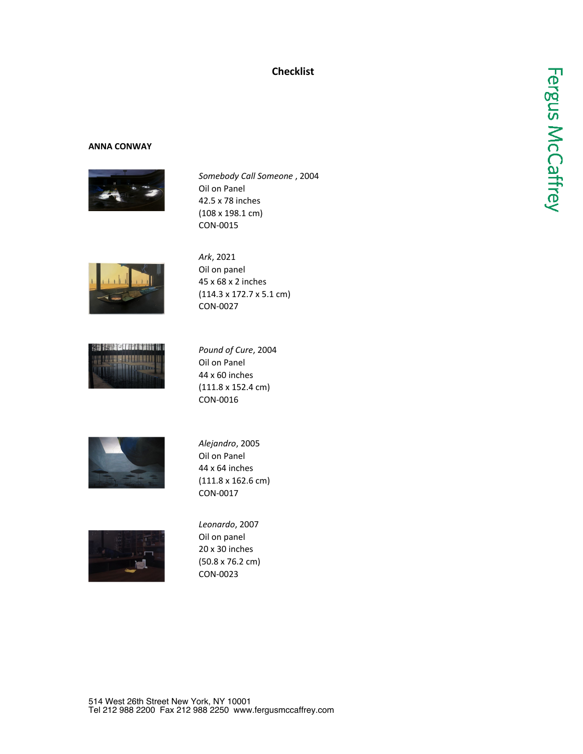# **Checklist**

#### **ANNA CONWAY**



*Somebody Call Someone* , 2004 Oil on Panel 42.5 x 78 inches (108 x 198.1 cm) CON-0015



*Ark*, 2021 Oil on panel 45 x 68 x 2 inches (114.3 x 172.7 x 5.1 cm) CON-0027



*Pound of Cure*, 2004 Oil on Panel 44 x 60 inches (111.8 x 152.4 cm) CON-0016



*Alejandro*, 2005 Oil on Panel 44 x 64 inches (111.8 x 162.6 cm) CON-0017



*Leonardo*, 2007 Oil on panel 20 x 30 inches (50.8 x 76.2 cm) CON-0023